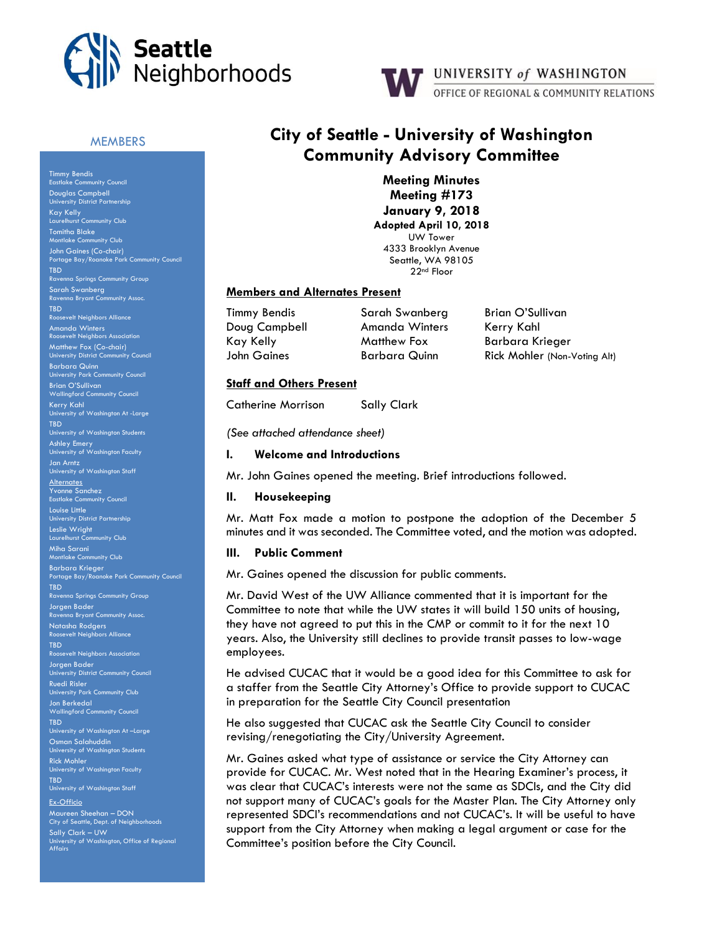



## **MEMBERS**

Timmy Bendis Eastlake Community Council Douglas Campbell University District Partnership Kay Kelly Laurelhurst Community Club Tomitha Blake Montlake Community Club John Gaines (Co-chair) Portage Bay/Roanoke Park Community Council TBD Ravenna Springs Community Group Sarah Swanberg Ravenna Bryant Community Assoc. TBD osevelt Neighbors Allia Amanda Winters sevelt Neigh Matthew Fox (Co-chair) University District Community Council Barbara Quinn University Park Community Council Brian O'Sullivan Wallingford Community Council Kerry Kahl University of Washington At -Large TBD University of Washington Students Ashley Emery University of Washington Faculty Jan Arntz University of Washington Staff **Alternates** Yvonne Sanchez Eastlake Community Council Louise Little University District Partnership Leslie Wright Laurelhurst Community Club Miha Sarani Montlake Community Club Barbara Krieger Portage Bay/Roanoke Park Community Council Ravenna Springs Community Group Jorgen Bader **Ravence Community Assoc.** Natasha Rodgers esevelt Neighbors Alliance TBD Roosevelt Neighbors Association Jorgen Bader , .<br>ersity District Community Council Ruedi Risler University Park Community Club Jon Berkedal Wallingford Community Council TBD University of Washington At –Large Osman Salahuddin University of Washington Students Rick Mohler University of Washington Faculty TBD University of Washington Staff Ex-Officio Maureen Sheehan – DON City of Seattle, Dept. of Neighborhoods Sally Clark – UW

University of Washington, Office of Regional Affairs

# **City of Seattle - University of Washington Community Advisory Committee**

**Meeting Minutes Meeting #173 January 9, 2018 Adopted April 10, 2018** UW Tower 4333 Brooklyn Avenue Seattle, WA 98105 22nd Floor

### **Members and Alternates Present**

Timmy Bendis Sarah Swanberg Brian O'Sullivan

Doug Campbell **Amanda Winters** Kerry Kahl Kay Kelly **Matthew Fox** Barbara Krieger

John Gaines Barbara Quinn Rick Mohler (Non-Voting Alt)

## **Staff and Others Present**

Catherine Morrison Sally Clark

*(See attached attendance sheet)*

## **I. Welcome and Introductions**

Mr. John Gaines opened the meeting. Brief introductions followed.

## **II. Housekeeping**

Mr. Matt Fox made a motion to postpone the adoption of the December 5 minutes and it was seconded. The Committee voted, and the motion was adopted.

#### **III. Public Comment**

Mr. Gaines opened the discussion for public comments.

Mr. David West of the UW Alliance commented that it is important for the Committee to note that while the UW states it will build 150 units of housing, they have not agreed to put this in the CMP or commit to it for the next 10 years. Also, the University still declines to provide transit passes to low-wage employees.

He advised CUCAC that it would be a good idea for this Committee to ask for a staffer from the Seattle City Attorney's Office to provide support to CUCAC in preparation for the Seattle City Council presentation

He also suggested that CUCAC ask the Seattle City Council to consider revising/renegotiating the City/University Agreement.

Mr. Gaines asked what type of assistance or service the City Attorney can provide for CUCAC. Mr. West noted that in the Hearing Examiner's process, it was clear that CUCAC's interests were not the same as SDCIs, and the City did not support many of CUCAC's goals for the Master Plan. The City Attorney only represented SDCI's recommendations and not CUCAC's. It will be useful to have support from the City Attorney when making a legal argument or case for the Committee's position before the City Council.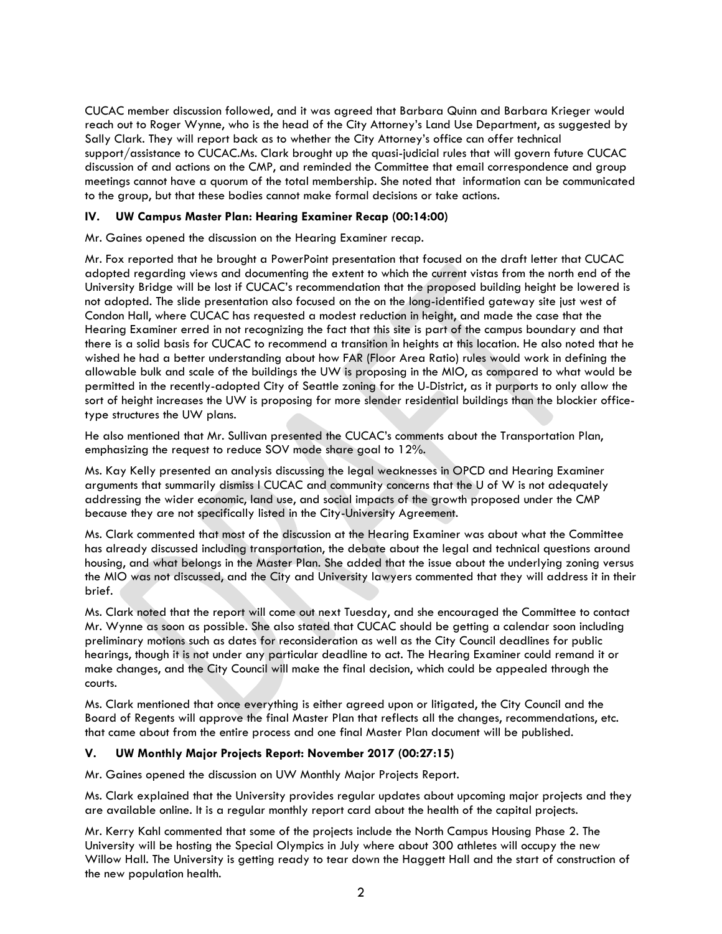CUCAC member discussion followed, and it was agreed that Barbara Quinn and Barbara Krieger would reach out to Roger Wynne, who is the head of the City Attorney's Land Use Department, as suggested by Sally Clark. They will report back as to whether the City Attorney's office can offer technical support/assistance to CUCAC.Ms. Clark brought up the quasi-judicial rules that will govern future CUCAC discussion of and actions on the CMP, and reminded the Committee that email correspondence and group meetings cannot have a quorum of the total membership. She noted that information can be communicated to the group, but that these bodies cannot make formal decisions or take actions.

# **IV. UW Campus Master Plan: Hearing Examiner Recap (00:14:00)**

Mr. Gaines opened the discussion on the Hearing Examiner recap.

Mr. Fox reported that he brought a PowerPoint presentation that focused on the draft letter that CUCAC adopted regarding views and documenting the extent to which the current vistas from the north end of the University Bridge will be lost if CUCAC's recommendation that the proposed building height be lowered is not adopted. The slide presentation also focused on the on the long-identified gateway site just west of Condon Hall, where CUCAC has requested a modest reduction in height, and made the case that the Hearing Examiner erred in not recognizing the fact that this site is part of the campus boundary and that there is a solid basis for CUCAC to recommend a transition in heights at this location. He also noted that he wished he had a better understanding about how FAR (Floor Area Ratio) rules would work in defining the allowable bulk and scale of the buildings the UW is proposing in the MIO, as compared to what would be permitted in the recently-adopted City of Seattle zoning for the U-District, as it purports to only allow the sort of height increases the UW is proposing for more slender residential buildings than the blockier officetype structures the UW plans.

He also mentioned that Mr. Sullivan presented the CUCAC's comments about the Transportation Plan, emphasizing the request to reduce SOV mode share goal to 12%.

Ms. Kay Kelly presented an analysis discussing the legal weaknesses in OPCD and Hearing Examiner arguments that summarily dismiss l CUCAC and community concerns that the U of W is not adequately addressing the wider economic, land use, and social impacts of the growth proposed under the CMP because they are not specifically listed in the City-University Agreement.

Ms. Clark commented that most of the discussion at the Hearing Examiner was about what the Committee has already discussed including transportation, the debate about the legal and technical questions around housing, and what belongs in the Master Plan. She added that the issue about the underlying zoning versus the MIO was not discussed, and the City and University lawyers commented that they will address it in their brief.

Ms. Clark noted that the report will come out next Tuesday, and she encouraged the Committee to contact Mr. Wynne as soon as possible. She also stated that CUCAC should be getting a calendar soon including preliminary motions such as dates for reconsideration as well as the City Council deadlines for public hearings, though it is not under any particular deadline to act. The Hearing Examiner could remand it or make changes, and the City Council will make the final decision, which could be appealed through the courts.

Ms. Clark mentioned that once everything is either agreed upon or litigated, the City Council and the Board of Regents will approve the final Master Plan that reflects all the changes, recommendations, etc. that came about from the entire process and one final Master Plan document will be published.

# **V. UW Monthly Major Projects Report: November 2017 (00:27:15)**

Mr. Gaines opened the discussion on UW Monthly Major Projects Report.

Ms. Clark explained that the University provides regular updates about upcoming major projects and they are available online. It is a regular monthly report card about the health of the capital projects.

Mr. Kerry Kahl commented that some of the projects include the North Campus Housing Phase 2. The University will be hosting the Special Olympics in July where about 300 athletes will occupy the new Willow Hall. The University is getting ready to tear down the Haggett Hall and the start of construction of the new population health.